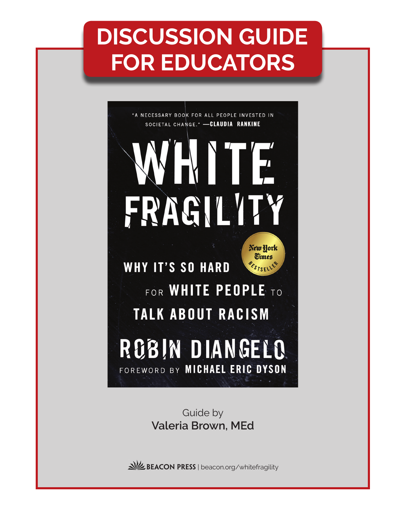# **DISCUSSION GUIDE FOR EDUCATORS**



Guide by **Valeria Brown, MEd**

BEACON PRESS | beacon.org/whitefragility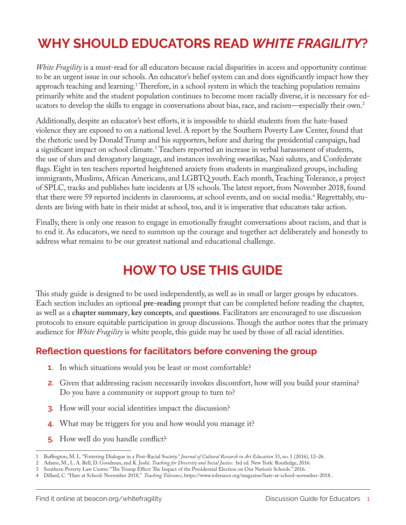# **WHY SHOULD EDUCATORS READ** *WHITE FRAGILITY***?**

*White Fragility* is a must-read for all educators because racial disparities in access and opportunity continue to be an urgent issue in our schools. An educator's belief system can and does significantly impact how they approach teaching and learning.<sup>1</sup> Therefore, in a school system in which the teaching population remains primarily white and the student population continues to become more racially diverse, it is necessary for educators to develop the skills to engage in conversations about bias, race, and racism—especially their own.<sup>2</sup>

Additionally, despite an educator's best efforts, it is impossible to shield students from the hate-based violence they are exposed to on a national level. A report by the Southern Poverty Law Center, found that the rhetoric used by Donald Trump and his supporters, before and during the presidential campaign, had a significant impact on school climate.<sup>3</sup> Teachers reported an increase in verbal harassment of students, the use of slurs and derogatory language, and instances involving swastikas, Nazi salutes, and Confederate flags. Eight in ten teachers reported heightened anxiety from students in marginalized groups, including immigrants, Muslims, African Americans, and LGBTQ youth. Each month, Teaching Tolerance, a project of SPLC, tracks and publishes hate incidents at US schools. The latest report, from November 2018, found that there were 59 reported incidents in classrooms, at school events, and on social media.<sup>4</sup> Regrettably, students are living with hate in their midst at school, too, and it is imperative that educators take action.

Finally, there is only one reason to engage in emotionally fraught conversations about racism, and that is to end it. As educators, we need to summon up the courage and together act deliberately and honestly to address what remains to be our greatest national and educational challenge.

### **HOW TO USE THIS GUIDE**

This study guide is designed to be used independently, as well as in small or larger groups by educators. Each section includes an optional **pre-reading** prompt that can be completed before reading the chapter, as well as a **chapter summary**, **key concepts**, and **questions**. Facilitators are encouraged to use discussion protocols to ensure equitable participation in group discussions. Though the author notes that the primary audience for *White Fragility* is white people, this guide may be used by those of all racial identities.

#### **Reflection questions for facilitators before convening the group**

- **1.** In which situations would you be least or most comfortable?
- **2.** Given that addressing racism necessarily invokes discomfort, how will you build your stamina? Do you have a community or support group to turn to?
- **3.** How will your social identities impact the discussion?
- **4.** What may be triggers for you and how would you manage it?
- **5.** How well do you handle conflict?

<sup>1</sup> Buffington, M. L. "Fostering Dialogue in a Post-Racial Society." *Journal of Cultural Research in Art Education* 33, no. 1 (2016), 12–26.

<sup>2</sup> Adams, M., L. A. Bell, D. Goodman, and K. Joshi. *Teaching for Diversity and Social Justice.* 3rd ed. New York: Routledge, 2016.

<sup>3</sup> Southern Poverty Law Center. "The Trump Effect: The Impact of the Presidential Election on Our Nation's Schools." 2016.

<sup>4</sup> Dillard, C. "Hate at School: November 2018," *Teaching Tolerance*, https://www.tolerance.org/magazine/hate-at-school-november-2018..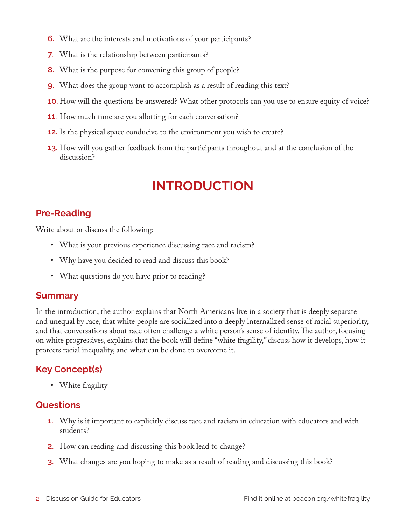- **6.** What are the interests and motivations of your participants?
- **7.** What is the relationship between participants?
- **8.** What is the purpose for convening this group of people?
- **9.** What does the group want to accomplish as a result of reading this text?
- **10.** How will the questions be answered? What other protocols can you use to ensure equity of voice?
- **11.** How much time are you allotting for each conversation?
- **12.** Is the physical space conducive to the environment you wish to create?
- **13.** How will you gather feedback from the participants throughout and at the conclusion of the discussion?

# **INTRODUCTION**

#### **Pre-Reading**

Write about or discuss the following:

- What is your previous experience discussing race and racism?
- Why have you decided to read and discuss this book?
- What questions do you have prior to reading?

#### **Summary**

In the introduction, the author explains that North Americans live in a society that is deeply separate and unequal by race, that white people are socialized into a deeply internalized sense of racial superiority, and that conversations about race often challenge a white person's sense of identity. The author, focusing on white progressives, explains that the book will define "white fragility," discuss how it develops, how it protects racial inequality, and what can be done to overcome it.

#### **Key Concept(s)**

• White fragility

- **1.** Why is it important to explicitly discuss race and racism in education with educators and with students?
- **2.** How can reading and discussing this book lead to change?
- **3.** What changes are you hoping to make as a result of reading and discussing this book?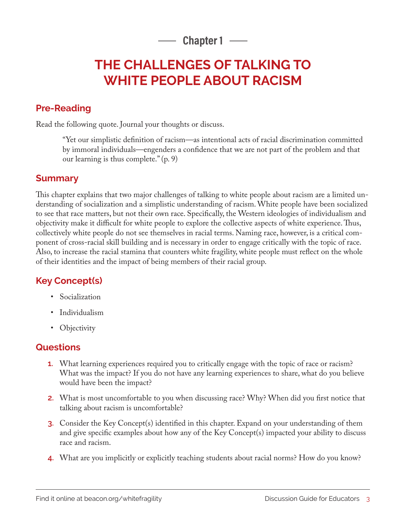**Chapter 1**

# **THE CHALLENGES OF TALKING TO WHITE PEOPLE ABOUT RACISM**

#### **Pre-Reading**

Read the following quote. Journal your thoughts or discuss.

"Yet our simplistic definition of racism—as intentional acts of racial discrimination committed by immoral individuals—engenders a confidence that we are not part of the problem and that our learning is thus complete." (p. 9)

#### **Summary**

This chapter explains that two major challenges of talking to white people about racism are a limited understanding of socialization and a simplistic understanding of racism. White people have been socialized to see that race matters, but not their own race. Specifically, the Western ideologies of individualism and objectivity make it difficult for white people to explore the collective aspects of white experience. Thus, collectively white people do not see themselves in racial terms. Naming race, however, is a critical component of cross-racial skill building and is necessary in order to engage critically with the topic of race. Also, to increase the racial stamina that counters white fragility, white people must reflect on the whole of their identities and the impact of being members of their racial group.

#### **Key Concept(s)**

- Socialization
- Individualism
- Objectivity

- **1.** What learning experiences required you to critically engage with the topic of race or racism? What was the impact? If you do not have any learning experiences to share, what do you believe would have been the impact?
- **2.** What is most uncomfortable to you when discussing race? Why? When did you first notice that talking about racism is uncomfortable?
- **3.** Consider the Key Concept(s) identified in this chapter. Expand on your understanding of them and give specific examples about how any of the Key Concept(s) impacted your ability to discuss race and racism.
- **4.** What are you implicitly or explicitly teaching students about racial norms? How do you know?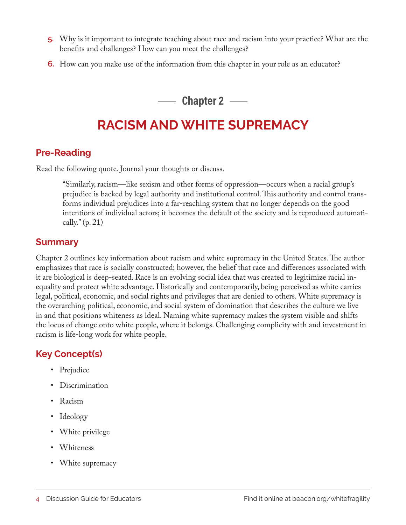- **5.** Why is it important to integrate teaching about race and racism into your practice? What are the benefits and challenges? How can you meet the challenges?
- **6.** How can you make use of the information from this chapter in your role as an educator?

**Chapter 2**

# **RACISM AND WHITE SUPREMACY**

#### **Pre-Reading**

Read the following quote. Journal your thoughts or discuss.

"Similarly, racism—like sexism and other forms of oppression—occurs when a racial group's prejudice is backed by legal authority and institutional control. This authority and control transforms individual prejudices into a far-reaching system that no longer depends on the good intentions of individual actors; it becomes the default of the society and is reproduced automatically."  $(p. 21)$ 

#### **Summary**

Chapter 2 outlines key information about racism and white supremacy in the United States. The author emphasizes that race is socially constructed; however, the belief that race and differences associated with it are biological is deep-seated. Race is an evolving social idea that was created to legitimize racial inequality and protect white advantage. Historically and contemporarily, being perceived as white carries legal, political, economic, and social rights and privileges that are denied to others. White supremacy is the overarching political, economic, and social system of domination that describes the culture we live in and that positions whiteness as ideal. Naming white supremacy makes the system visible and shifts the locus of change onto white people, where it belongs. Challenging complicity with and investment in racism is life-long work for white people.

#### **Key Concept(s)**

- Prejudice
- Discrimination
- Racism
- Ideology
- White privilege
- Whiteness
- White supremacy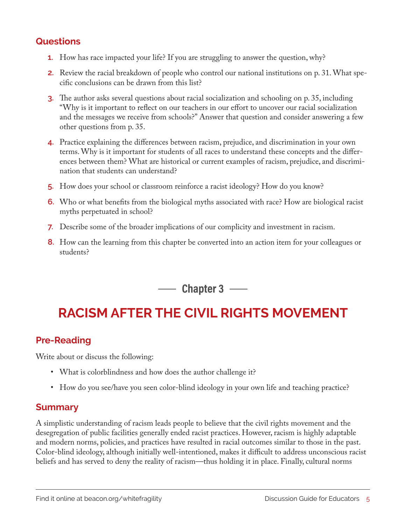#### **Questions**

- **1.** How has race impacted your life? If you are struggling to answer the question, why?
- **2.** Review the racial breakdown of people who control our national institutions on p. 31. What specific conclusions can be drawn from this list?
- **3.** The author asks several questions about racial socialization and schooling on p. 35, including "Why is it important to reflect on our teachers in our effort to uncover our racial socialization and the messages we receive from schools?" Answer that question and consider answering a few other questions from p. 35.
- **4.** Practice explaining the differences between racism, prejudice, and discrimination in your own terms. Why is it important for students of all races to understand these concepts and the differences between them? What are historical or current examples of racism, prejudice, and discrimination that students can understand?
- **5.** How does your school or classroom reinforce a racist ideology? How do you know?
- **6.** Who or what benefits from the biological myths associated with race? How are biological racist myths perpetuated in school?
- **7.** Describe some of the broader implications of our complicity and investment in racism.
- **8.** How can the learning from this chapter be converted into an action item for your colleagues or students?

**Chapter 3**

# **RACISM AFTER THE CIVIL RIGHTS MOVEMENT**

#### **Pre-Reading**

Write about or discuss the following:

- What is colorblindness and how does the author challenge it?
- How do you see/have you seen color-blind ideology in your own life and teaching practice?

#### **Summary**

A simplistic understanding of racism leads people to believe that the civil rights movement and the desegregation of public facilities generally ended racist practices. However, racism is highly adaptable and modern norms, policies, and practices have resulted in racial outcomes similar to those in the past. Color-blind ideology, although initially well-intentioned, makes it difficult to address unconscious racist beliefs and has served to deny the reality of racism—thus holding it in place. Finally, cultural norms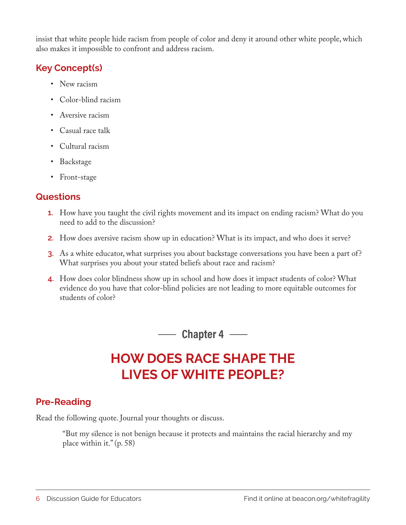insist that white people hide racism from people of color and deny it around other white people, which also makes it impossible to confront and address racism.

#### **Key Concept(s)**

- New racism
- Color-blind racism
- Aversive racism
- Casual race talk
- Cultural racism
- Backstage
- Front-stage

#### **Questions**

- **1.** How have you taught the civil rights movement and its impact on ending racism? What do you need to add to the discussion?
- **2.** How does aversive racism show up in education? What is its impact, and who does it serve?
- **3.** As a white educator, what surprises you about backstage conversations you have been a part of? What surprises you about your stated beliefs about race and racism?
- **4.** How does color blindness show up in school and how does it impact students of color? What evidence do you have that color-blind policies are not leading to more equitable outcomes for students of color?

**Chapter 4**

# **HOW DOES RACE SHAPE THE LIVES OF WHITE PEOPLE?**

#### **Pre-Reading**

Read the following quote. Journal your thoughts or discuss.

"But my silence is not benign because it protects and maintains the racial hierarchy and my place within it." (p. 58)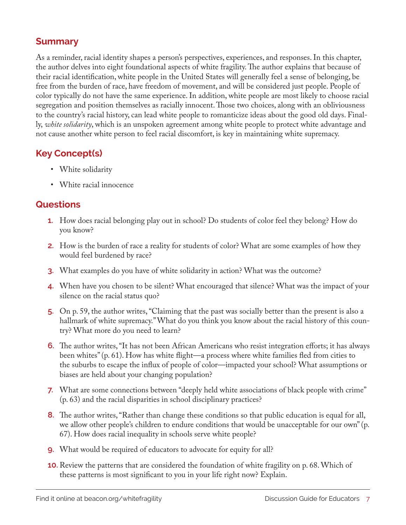#### **Summary**

As a reminder, racial identity shapes a person's perspectives, experiences, and responses. In this chapter, the author delves into eight foundational aspects of white fragility. The author explains that because of their racial identification, white people in the United States will generally feel a sense of belonging, be free from the burden of race, have freedom of movement, and will be considered just people. People of color typically do not have the same experience. In addition, white people are most likely to choose racial segregation and position themselves as racially innocent. Those two choices, along with an obliviousness to the country's racial history, can lead white people to romanticize ideas about the good old days. Finally, *white solidarity*, which is an unspoken agreement among white people to protect white advantage and not cause another white person to feel racial discomfort, is key in maintaining white supremacy.

#### **Key Concept(s)**

- White solidarity
- White racial innocence

- **1.** How does racial belonging play out in school? Do students of color feel they belong? How do you know?
- **2.** How is the burden of race a reality for students of color? What are some examples of how they would feel burdened by race?
- **3.** What examples do you have of white solidarity in action? What was the outcome?
- **4.** When have you chosen to be silent? What encouraged that silence? What was the impact of your silence on the racial status quo?
- **5.** On p. 59, the author writes, "Claiming that the past was socially better than the present is also a hallmark of white supremacy." What do you think you know about the racial history of this country? What more do you need to learn?
- **6.** The author writes, "It has not been African Americans who resist integration efforts; it has always been whites" (p. 61). How has white flight—a process where white families fled from cities to the suburbs to escape the influx of people of color—impacted your school? What assumptions or biases are held about your changing population?
- **7.** What are some connections between "deeply held white associations of black people with crime" (p. 63) and the racial disparities in school disciplinary practices?
- **8.** The author writes, "Rather than change these conditions so that public education is equal for all, we allow other people's children to endure conditions that would be unacceptable for our own" (p. 67). How does racial inequality in schools serve white people?
- **9.** What would be required of educators to advocate for equity for all?
- **10.** Review the patterns that are considered the foundation of white fragility on p. 68. Which of these patterns is most significant to you in your life right now? Explain.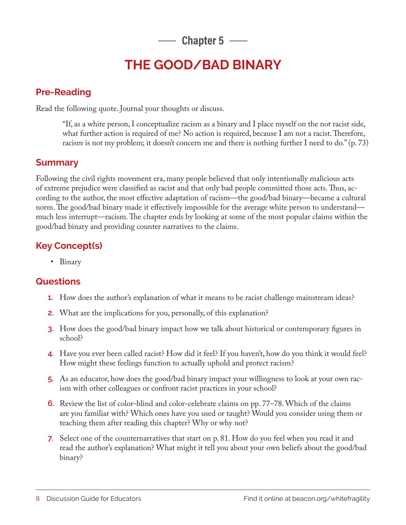$-$  Chapter 5  $-$ 

### **THE GOOD/BAD BINARY**

#### **Pre-Reading**

Read the following quote. Journal your thoughts or discuss.

"If, as a white person, I conceptualize racism as a binary and I place myself on the not racist side, what further action is required of me? No action is required, because I am not a racist. Therefore, racism is not my problem; it doesn't concern me and there is nothing further I need to do." (p. 73)

#### **Summary**

Following the civil rights movement era, many people believed that only intentionally malicious acts of extreme prejudice were classified as racist and that only bad people committed those acts. Thus, according to the author, the most effective adaptation of racism—the good/bad binary—became a cultural norm. The good/bad binary made it effectively impossible for the average white person to understand much less interrupt—racism. The chapter ends by looking at some of the most popular claims within the good/bad binary and providing counter narratives to the claims.

#### **Key Concept(s)**

• Binary

- **1.** How does the author's explanation of what it means to be racist challenge mainstream ideas?
- **2.** What are the implications for you, personally, of this explanation?
- **3.** How does the good/bad binary impact how we talk about historical or contemporary figures in school?
- **4.** Have you ever been called racist? How did it feel? If you haven't, how do you think it would feel? How might these feelings function to actually uphold and protect racism?
- **5.** As an educator, how does the good/bad binary impact your willingness to look at your own racism with other colleagues or confront racist practices in your school?
- **6.** Review the list of color-blind and color-celebrate claims on pp. 77–78. Which of the claims are you familiar with? Which ones have you used or taught? Would you consider using them or teaching them after reading this chapter? Why or why not?
- **7.** Select one of the counternarratives that start on p. 81. How do you feel when you read it and read the author's explanation? What might it tell you about your own beliefs about the good/bad binary?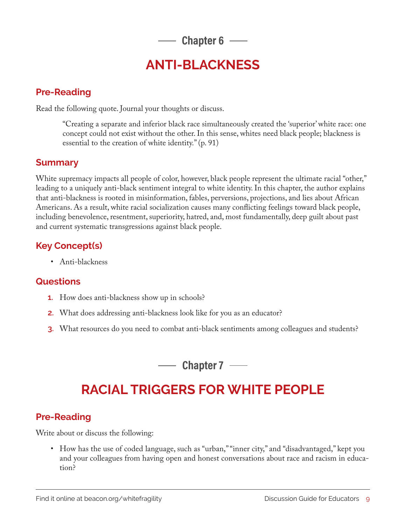**Chapter 6**

### **ANTI-BLACKNESS**

#### **Pre-Reading**

Read the following quote. Journal your thoughts or discuss.

"Creating a separate and inferior black race simultaneously created the 'superior' white race: one concept could not exist without the other. In this sense, whites need black people; blackness is essential to the creation of white identity." (p. 91)

#### **Summary**

White supremacy impacts all people of color, however, black people represent the ultimate racial "other," leading to a uniquely anti-black sentiment integral to white identity. In this chapter, the author explains that anti-blackness is rooted in misinformation, fables, perversions, projections, and lies about African Americans. As a result, white racial socialization causes many conflicting feelings toward black people, including benevolence, resentment, superiority, hatred, and, most fundamentally, deep guilt about past and current systematic transgressions against black people.

#### **Key Concept(s)**

• Anti-blackness

#### **Questions**

- **1.** How does anti-blackness show up in schools?
- **2.** What does addressing anti-blackness look like for you as an educator?
- **3.** What resources do you need to combat anti-black sentiments among colleagues and students?

**Chapter 7**

# **RACIAL TRIGGERS FOR WHITE PEOPLE**

#### **Pre-Reading**

Write about or discuss the following:

• How has the use of coded language, such as "urban," "inner city," and "disadvantaged," kept you and your colleagues from having open and honest conversations about race and racism in education?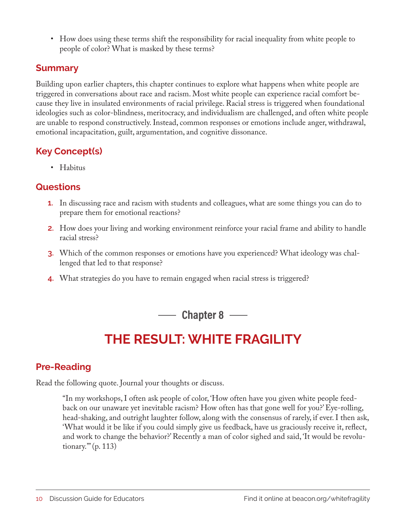• How does using these terms shift the responsibility for racial inequality from white people to people of color? What is masked by these terms?

#### **Summary**

Building upon earlier chapters, this chapter continues to explore what happens when white people are triggered in conversations about race and racism. Most white people can experience racial comfort because they live in insulated environments of racial privilege. Racial stress is triggered when foundational ideologies such as color-blindness, meritocracy, and individualism are challenged, and often white people are unable to respond constructively. Instead, common responses or emotions include anger, withdrawal, emotional incapacitation, guilt, argumentation, and cognitive dissonance.

#### **Key Concept(s)**

• Habitus

#### **Questions**

- **1.** In discussing race and racism with students and colleagues, what are some things you can do to prepare them for emotional reactions?
- **2.** How does your living and working environment reinforce your racial frame and ability to handle racial stress?
- **3.** Which of the common responses or emotions have you experienced? What ideology was challenged that led to that response?
- **4.** What strategies do you have to remain engaged when racial stress is triggered?

**Chapter 8**

# **THE RESULT: WHITE FRAGILITY**

#### **Pre-Reading**

Read the following quote. Journal your thoughts or discuss.

"In my workshops, I often ask people of color, 'How often have you given white people feedback on our unaware yet inevitable racism? How often has that gone well for you?' Eye-rolling, head-shaking, and outright laughter follow, along with the consensus of rarely, if ever. I then ask, 'What would it be like if you could simply give us feedback, have us graciously receive it, reflect, and work to change the behavior?' Recently a man of color sighed and said, 'It would be revolutionary.'" (p. 113)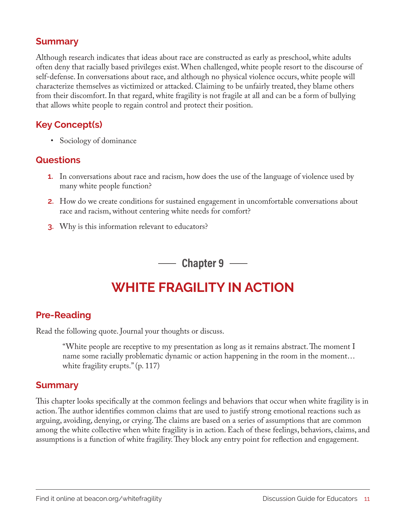#### **Summary**

Although research indicates that ideas about race are constructed as early as preschool, white adults often deny that racially based privileges exist. When challenged, white people resort to the discourse of self-defense. In conversations about race, and although no physical violence occurs, white people will characterize themselves as victimized or attacked. Claiming to be unfairly treated, they blame others from their discomfort. In that regard, white fragility is not fragile at all and can be a form of bullying that allows white people to regain control and protect their position.

#### **Key Concept(s)**

• Sociology of dominance

#### **Questions**

- **1.** In conversations about race and racism, how does the use of the language of violence used by many white people function?
- **2.** How do we create conditions for sustained engagement in uncomfortable conversations about race and racism, without centering white needs for comfort?
- **3.** Why is this information relevant to educators?

**Chapter 9**

### **WHITE FRAGILITY IN ACTION**

#### **Pre-Reading**

Read the following quote. Journal your thoughts or discuss.

"White people are receptive to my presentation as long as it remains abstract. The moment I name some racially problematic dynamic or action happening in the room in the moment… white fragility erupts." (p. 117)

#### **Summary**

This chapter looks specifically at the common feelings and behaviors that occur when white fragility is in action. The author identifies common claims that are used to justify strong emotional reactions such as arguing, avoiding, denying, or crying. The claims are based on a series of assumptions that are common among the white collective when white fragility is in action. Each of these feelings, behaviors, claims, and assumptions is a function of white fragility. They block any entry point for reflection and engagement.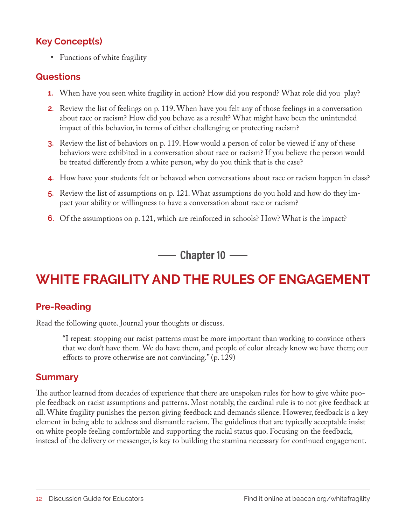#### **Key Concept(s)**

• Functions of white fragility

#### **Questions**

- **1.** When have you seen white fragility in action? How did you respond? What role did you play?
- **2.** Review the list of feelings on p. 119. When have you felt any of those feelings in a conversation about race or racism? How did you behave as a result? What might have been the unintended impact of this behavior, in terms of either challenging or protecting racism?
- **3.** Review the list of behaviors on p. 119. How would a person of color be viewed if any of these behaviors were exhibited in a conversation about race or racism? If you believe the person would be treated differently from a white person, why do you think that is the case?
- **4.** How have your students felt or behaved when conversations about race or racism happen in class?
- **5.** Review the list of assumptions on p. 121. What assumptions do you hold and how do they impact your ability or willingness to have a conversation about race or racism?
- **6.** Of the assumptions on p. 121, which are reinforced in schools? How? What is the impact?

**--- Chapter 10 ----**

# **WHITE FRAGILITY AND THE RULES OF ENGAGEMENT**

#### **Pre-Reading**

Read the following quote. Journal your thoughts or discuss.

"I repeat: stopping our racist patterns must be more important than working to convince others that we don't have them. We do have them, and people of color already know we have them; our efforts to prove otherwise are not convincing." (p. 129)

#### **Summary**

The author learned from decades of experience that there are unspoken rules for how to give white people feedback on racist assumptions and patterns. Most notably, the cardinal rule is to not give feedback at all. White fragility punishes the person giving feedback and demands silence. However, feedback is a key element in being able to address and dismantle racism. The guidelines that are typically acceptable insist on white people feeling comfortable and supporting the racial status quo. Focusing on the feedback, instead of the delivery or messenger, is key to building the stamina necessary for continued engagement.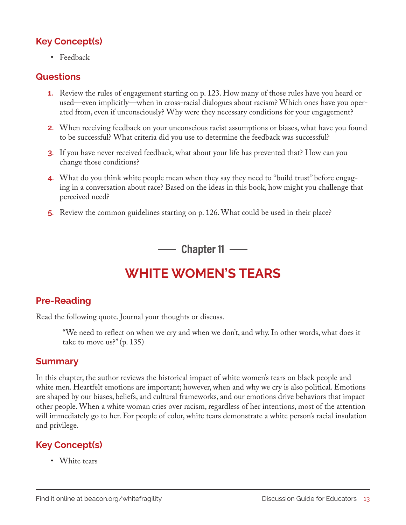#### **Key Concept(s)**

• Feedback

#### **Questions**

- **1.** Review the rules of engagement starting on p. 123. How many of those rules have you heard or used—even implicitly—when in cross-racial dialogues about racism? Which ones have you operated from, even if unconsciously? Why were they necessary conditions for your engagement?
- **2.** When receiving feedback on your unconscious racist assumptions or biases, what have you found to be successful? What criteria did you use to determine the feedback was successful?
- **3.** If you have never received feedback, what about your life has prevented that? How can you change those conditions?
- **4.** What do you think white people mean when they say they need to "build trust" before engaging in a conversation about race? Based on the ideas in this book, how might you challenge that perceived need?
- **5.** Review the common guidelines starting on p. 126. What could be used in their place?

**Chapter 11**

### **WHITE WOMEN'S TEARS**

#### **Pre-Reading**

Read the following quote. Journal your thoughts or discuss.

"We need to reflect on when we cry and when we don't, and why. In other words, what does it take to move us?" (p. 135)

#### **Summary**

In this chapter, the author reviews the historical impact of white women's tears on black people and white men. Heartfelt emotions are important; however, when and why we cry is also political. Emotions are shaped by our biases, beliefs, and cultural frameworks, and our emotions drive behaviors that impact other people. When a white woman cries over racism, regardless of her intentions, most of the attention will immediately go to her. For people of color, white tears demonstrate a white person's racial insulation and privilege.

#### **Key Concept(s)**

• White tears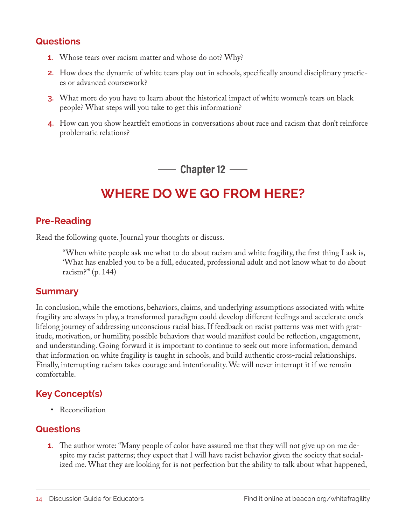#### **Questions**

- **1.** Whose tears over racism matter and whose do not? Why?
- **2.** How does the dynamic of white tears play out in schools, specifically around disciplinary practices or advanced coursework?
- **3.** What more do you have to learn about the historical impact of white women's tears on black people? What steps will you take to get this information?
- **4.** How can you show heartfelt emotions in conversations about race and racism that don't reinforce problematic relations?

**Chapter 12 —–** 

# **WHERE DO WE GO FROM HERE?**

#### **Pre-Reading**

Read the following quote. Journal your thoughts or discuss.

"When white people ask me what to do about racism and white fragility, the first thing I ask is, 'What has enabled you to be a full, educated, professional adult and not know what to do about racism?'" (p. 144)

#### **Summary**

In conclusion, while the emotions, behaviors, claims, and underlying assumptions associated with white fragility are always in play, a transformed paradigm could develop different feelings and accelerate one's lifelong journey of addressing unconscious racial bias. If feedback on racist patterns was met with gratitude, motivation, or humility, possible behaviors that would manifest could be reflection, engagement, and understanding. Going forward it is important to continue to seek out more information, demand that information on white fragility is taught in schools, and build authentic cross-racial relationships. Finally, interrupting racism takes courage and intentionality. We will never interrupt it if we remain comfortable.

#### **Key Concept(s)**

• Reconciliation

#### **Questions**

**1.** The author wrote: "Many people of color have assured me that they will not give up on me despite my racist patterns; they expect that I will have racist behavior given the society that socialized me. What they are looking for is not perfection but the ability to talk about what happened,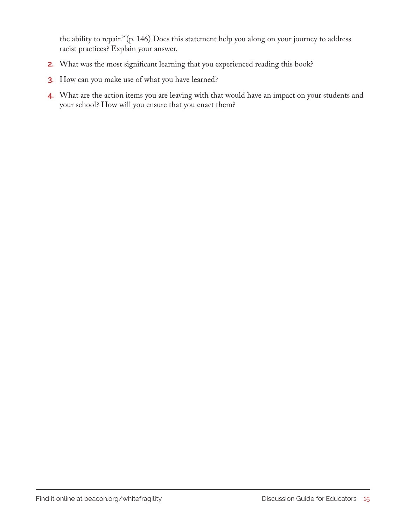the ability to repair." (p. 146) Does this statement help you along on your journey to address racist practices? Explain your answer.

- **2.** What was the most significant learning that you experienced reading this book?
- **3.** How can you make use of what you have learned?
- **4.** What are the action items you are leaving with that would have an impact on your students and your school? How will you ensure that you enact them?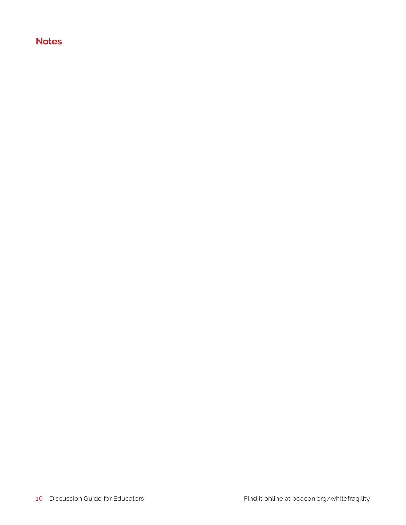#### **Notes**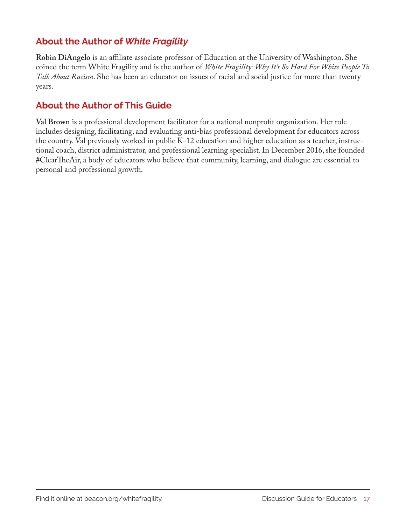#### **About the Author of** *White Fragility*

**Robin DiAngelo** is an affiliate associate professor of Education at the University of Washington. She coined the term White Fragility and is the author of *White Fragility: Why It's So Hard For White People To Talk About Racism*. She has been an educator on issues of racial and social justice for more than twenty years.

#### **About the Author of This Guide**

**Val Brown** is a professional development facilitator for a national nonprofit organization. Her role includes designing, facilitating, and evaluating anti-bias professional development for educators across the country. Val previously worked in public K-12 education and higher education as a teacher, instructional coach, district administrator, and professional learning specialist. In December 2016, she founded #ClearTheAir, a body of educators who believe that community, learning, and dialogue are essential to personal and professional growth.